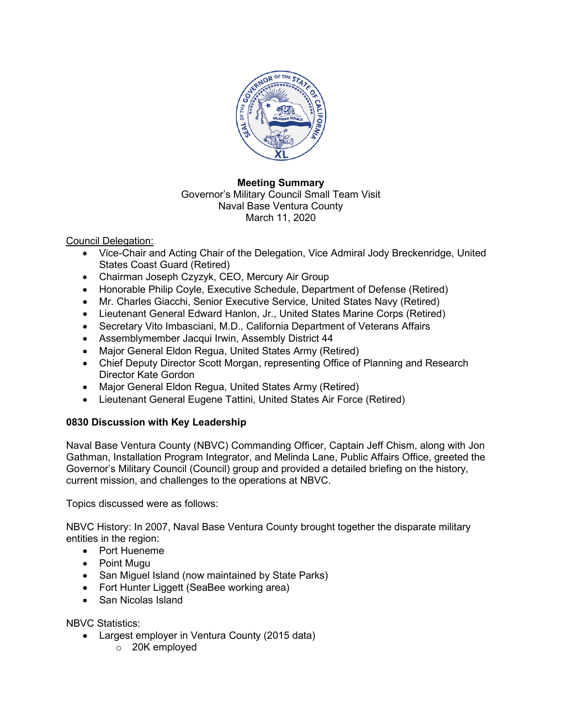

#### **Meeting Summary** Governor's Military Council Small Team Visit Naval Base Ventura County March 11, 2020

Council Delegation:

- Vice-Chair and Acting Chair of the Delegation, Vice Admiral Jody Breckenridge, United States Coast Guard (Retired)
- Chairman Joseph Czyzyk, CEO, Mercury Air Group
- Honorable Philip Coyle, Executive Schedule, Department of Defense (Retired)
- Mr. Charles Giacchi, Senior Executive Service, United States Navy (Retired)
- Lieutenant General Edward Hanlon, Jr., United States Marine Corps (Retired)
- Secretary Vito Imbasciani, M.D., California Department of Veterans Affairs
- Assemblymember Jacqui Irwin, Assembly District 44
- Major General Eldon Regua, United States Army (Retired)
- Chief Deputy Director Scott Morgan, representing Office of Planning and Research Director Kate Gordon
- Major General Eldon Regua, United States Army (Retired)
- Lieutenant General Eugene Tattini, United States Air Force (Retired)

# **0830 Discussion with Key Leadership**

Naval Base Ventura County (NBVC) Commanding Officer, Captain Jeff Chism, along with Jon Gathman, Installation Program Integrator, and Melinda Lane, Public Affairs Office, greeted the Governor's Military Council (Council) group and provided a detailed briefing on the history, current mission, and challenges to the operations at NBVC.

Topics discussed were as follows:

NBVC History: In 2007, Naval Base Ventura County brought together the disparate military entities in the region:

- Port Hueneme
- Point Mugu
- San Miguel Island (now maintained by State Parks)
- Fort Hunter Liggett (SeaBee working area)
- San Nicolas Island

NBVC Statistics:

- Largest employer in Ventura County (2015 data)
	- o 20K employed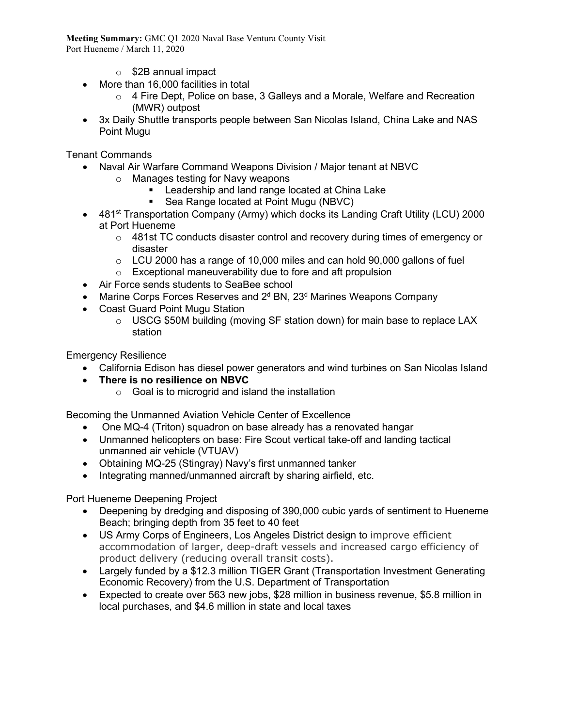**Meeting Summary:** GMC Q1 2020 Naval Base Ventura County Visit Port Hueneme / March 11, 2020

- o \$2B annual impact
- More than 16,000 facilities in total
	- o 4 Fire Dept, Police on base, 3 Galleys and a Morale, Welfare and Recreation (MWR) outpost
- 3x Daily Shuttle transports people between San Nicolas Island, China Lake and NAS Point Mugu

Tenant Commands

- Naval Air Warfare Command Weapons Division / Major tenant at NBVC
	- o Manages testing for Navy weapons
		- **EXECTE Leadership and land range located at China Lake**
		- Sea Range located at Point Mugu (NBVC)
- 481<sup>st</sup> Transportation Company (Army) which docks its Landing Craft Utility (LCU) 2000 at Port Hueneme
	- $\circ$  481st TC conducts disaster control and recovery during times of emergency or disaster
	- $\circ$  LCU 2000 has a range of 10,000 miles and can hold 90,000 gallons of fuel
	- o Exceptional maneuverability due to fore and aft propulsion
- Air Force sends students to SeaBee school
- Marine Corps Forces Reserves and  $2<sup>d</sup>$  BN,  $23<sup>d</sup>$  Marines Weapons Company
- Coast Guard Point Mugu Station
	- $\circ$  USCG \$50M building (moving SF station down) for main base to replace LAX station

Emergency Resilience

- California Edison has diesel power generators and wind turbines on San Nicolas Island
- **There is no resilience on NBVC**
	- $\circ$  Goal is to microgrid and island the installation

Becoming the Unmanned Aviation Vehicle Center of Excellence

- One MQ-4 (Triton) squadron on base already has a renovated hangar
- Unmanned helicopters on base: Fire Scout vertical take-off and landing tactical unmanned air vehicle (VTUAV)
- Obtaining MQ-25 (Stingray) Navy's first unmanned tanker
- Integrating manned/unmanned aircraft by sharing airfield, etc.

Port Hueneme Deepening Project

- Deepening by dredging and disposing of 390,000 cubic yards of sentiment to Hueneme Beach; bringing depth from 35 feet to 40 feet
- US Army Corps of Engineers, Los Angeles District design to improve efficient accommodation of larger, deep-draft vessels and increased cargo efficiency of product delivery (reducing overall transit costs).
- Largely funded by a \$12.3 million TIGER Grant (Transportation Investment Generating Economic Recovery) from the U.S. Department of Transportation
- Expected to create over 563 new jobs, \$28 million in business revenue, \$5.8 million in local purchases, and \$4.6 million in state and local taxes